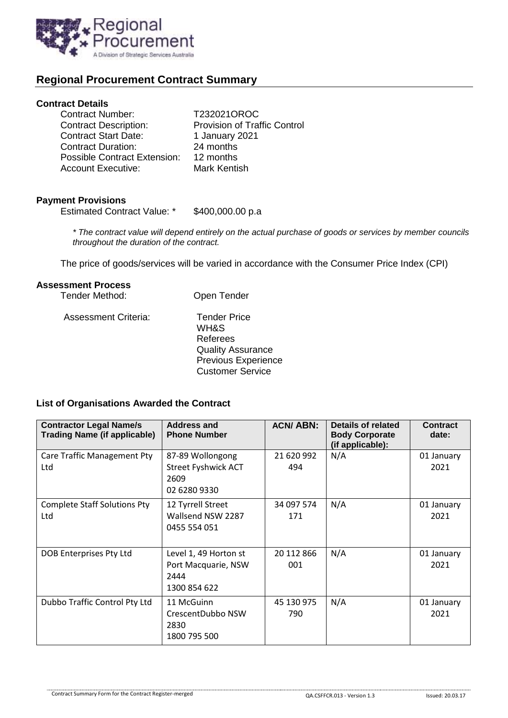

# **Regional Procurement Contract Summary**

## **Contract Details**

| <b>Contract Number:</b>             | T232021OROC                         |
|-------------------------------------|-------------------------------------|
| <b>Contract Description:</b>        | <b>Provision of Traffic Control</b> |
| <b>Contract Start Date:</b>         | 1 January 2021                      |
| <b>Contract Duration:</b>           | 24 months                           |
| <b>Possible Contract Extension:</b> | 12 months                           |
| <b>Account Executive:</b>           | Mark Kentish                        |

# **Payment Provisions**

Estimated Contract Value: \* \$400,000.00 p.a

*\* The contract value will depend entirely on the actual purchase of goods or services by member councils throughout the duration of the contract.*

The price of goods/services will be varied in accordance with the Consumer Price Index (CPI)

### **Assessment Process**

| <b>Tender Method:</b>       | Open Tender                                                                                                                  |  |  |
|-----------------------------|------------------------------------------------------------------------------------------------------------------------------|--|--|
| <b>Assessment Criteria:</b> | <b>Tender Price</b><br>WH&S<br>Referees<br><b>Quality Assurance</b><br><b>Previous Experience</b><br><b>Customer Service</b> |  |  |

#### **List of Organisations Awarded the Contract**

| <b>Contractor Legal Name/s</b><br><b>Trading Name (if applicable)</b> | <b>Address and</b><br><b>Phone Number</b>                              | <b>ACN/ABN:</b>   | Details of related<br><b>Body Corporate</b><br>(if applicable): | <b>Contract</b><br>date: |
|-----------------------------------------------------------------------|------------------------------------------------------------------------|-------------------|-----------------------------------------------------------------|--------------------------|
| Care Traffic Management Pty<br>Ltd                                    | 87-89 Wollongong<br><b>Street Fyshwick ACT</b><br>2609<br>02 6280 9330 | 21 620 992<br>494 | N/A                                                             | 01 January<br>2021       |
| <b>Complete Staff Solutions Pty</b><br>Ltd                            | 12 Tyrrell Street<br>Wallsend NSW 2287<br>0455 554 051                 | 34 097 574<br>171 | N/A                                                             | 01 January<br>2021       |
| DOB Enterprises Pty Ltd                                               | Level 1, 49 Horton st<br>Port Macquarie, NSW<br>2444<br>1300 854 622   | 20 112 866<br>001 | N/A                                                             | 01 January<br>2021       |
| Dubbo Traffic Control Pty Ltd                                         | 11 McGuinn<br>CrescentDubbo NSW<br>2830<br>1800 795 500                | 45 130 975<br>790 | N/A                                                             | 01 January<br>2021       |